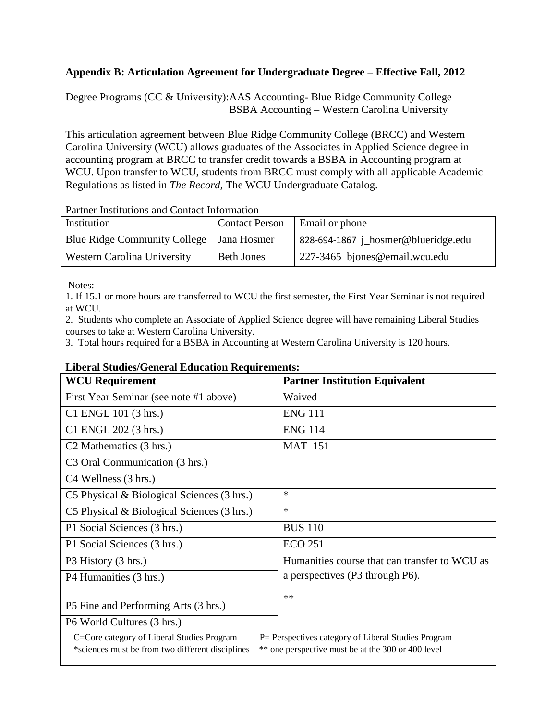## **Appendix B: Articulation Agreement for Undergraduate Degree – Effective Fall, 2012**

Degree Programs (CC & University):AAS Accounting- Blue Ridge Community College BSBA Accounting – Western Carolina University

This articulation agreement between Blue Ridge Community College (BRCC) and Western Carolina University (WCU) allows graduates of the Associates in Applied Science degree in accounting program at BRCC to transfer credit towards a BSBA in Accounting program at WCU. Upon transfer to WCU, students from BRCC must comply with all applicable Academic Regulations as listed in *The Record,* The WCU Undergraduate Catalog.

| <u>i arancı miətitativinə anu cəntact miformativin</u> |                       |                                     |  |  |
|--------------------------------------------------------|-----------------------|-------------------------------------|--|--|
| Institution                                            | <b>Contact Person</b> | Email or phone                      |  |  |
| <b>Blue Ridge Community College</b>                    | Jana Hosmer           | 828-694-1867 j_hosmer@blueridge.edu |  |  |
| Western Carolina University                            | <b>Beth Jones</b>     | 227-3465 bjones@email.wcu.edu       |  |  |

Partner Institutions and Contact Information

Notes:

1. If 15.1 or more hours are transferred to WCU the first semester, the First Year Seminar is not required at WCU.

2. Students who complete an Associate of Applied Science degree will have remaining Liberal Studies courses to take at Western Carolina University.

3. Total hours required for a BSBA in Accounting at Western Carolina University is 120 hours.

## **Liberal Studies/General Education Requirements:**

| <b>WCU Requirement</b>                                                                                 | <b>Partner Institution Equivalent</b>         |  |  |  |
|--------------------------------------------------------------------------------------------------------|-----------------------------------------------|--|--|--|
| First Year Seminar (see note #1 above)                                                                 | Waived                                        |  |  |  |
| C1 ENGL 101 (3 hrs.)                                                                                   | <b>ENG 111</b>                                |  |  |  |
| C1 ENGL 202 (3 hrs.)                                                                                   | <b>ENG 114</b>                                |  |  |  |
| C <sub>2</sub> Mathematics (3 hrs.)                                                                    | <b>MAT 151</b>                                |  |  |  |
| C3 Oral Communication (3 hrs.)                                                                         |                                               |  |  |  |
| C <sub>4</sub> Wellness (3 hrs.)                                                                       |                                               |  |  |  |
| C5 Physical & Biological Sciences (3 hrs.)                                                             | $\ast$                                        |  |  |  |
| C5 Physical & Biological Sciences (3 hrs.)                                                             | $\ast$                                        |  |  |  |
| P1 Social Sciences (3 hrs.)                                                                            | <b>BUS 110</b>                                |  |  |  |
| P1 Social Sciences (3 hrs.)                                                                            | <b>ECO 251</b>                                |  |  |  |
| P3 History (3 hrs.)                                                                                    | Humanities course that can transfer to WCU as |  |  |  |
| P4 Humanities (3 hrs.)                                                                                 | a perspectives (P3 through P6).               |  |  |  |
|                                                                                                        | $**$                                          |  |  |  |
| P5 Fine and Performing Arts (3 hrs.)                                                                   |                                               |  |  |  |
| P6 World Cultures (3 hrs.)                                                                             |                                               |  |  |  |
| P= Perspectives category of Liberal Studies Program<br>C=Core category of Liberal Studies Program      |                                               |  |  |  |
| ** one perspective must be at the 300 or 400 level<br>*sciences must be from two different disciplines |                                               |  |  |  |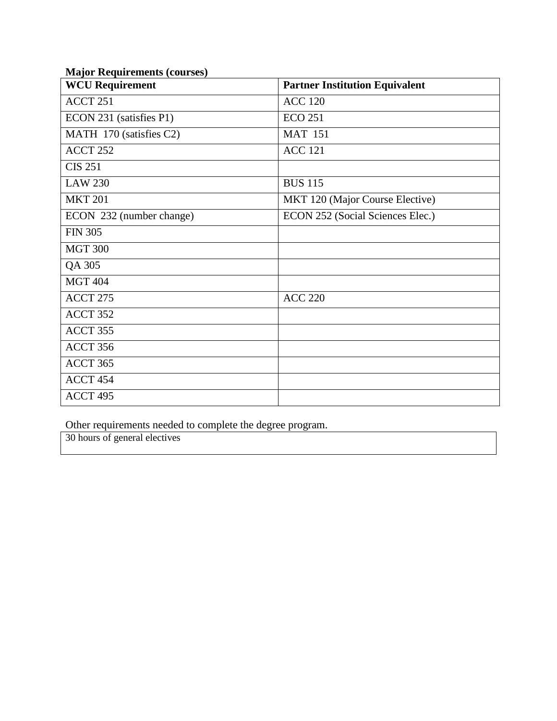| <b>WCU Requirement</b>   | <b>Partner Institution Equivalent</b> |
|--------------------------|---------------------------------------|
| ACCT 251                 | <b>ACC 120</b>                        |
| ECON 231 (satisfies P1)  | <b>ECO 251</b>                        |
| MATH 170 (satisfies C2)  | <b>MAT 151</b>                        |
| ACCT 252                 | <b>ACC 121</b>                        |
| <b>CIS 251</b>           |                                       |
| <b>LAW 230</b>           | <b>BUS 115</b>                        |
| <b>MKT 201</b>           | MKT 120 (Major Course Elective)       |
| ECON 232 (number change) | ECON 252 (Social Sciences Elec.)      |
| <b>FIN 305</b>           |                                       |
| <b>MGT 300</b>           |                                       |
| QA 305                   |                                       |
| <b>MGT 404</b>           |                                       |
| <b>ACCT 275</b>          | <b>ACC 220</b>                        |
| ACCT 352                 |                                       |
| ACCT 355                 |                                       |
| ACCT 356                 |                                       |
| ACCT 365                 |                                       |
| ACCT 454                 |                                       |
| ACCT 495                 |                                       |

## **Major Requirements (courses)**

Other requirements needed to complete the degree program.

30 hours of general electives